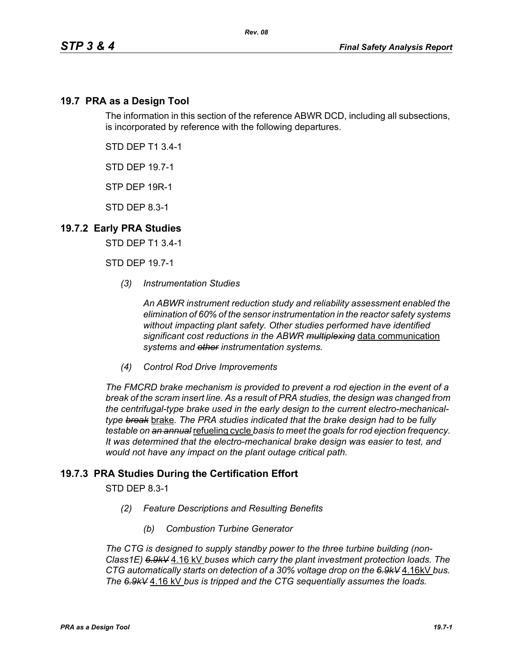## **19.7 PRA as a Design Tool**

The information in this section of the reference ABWR DCD, including all subsections, is incorporated by reference with the following departures.

STD DEP T1 3.4-1

STD DEP 19.7-1

STP DEP 19R-1

STD DEP 8.3-1

## **19.7.2 Early PRA Studies**

STD DEP T1 3.4-1

STD DEP 19.7-1

*(3) Instrumentation Studies*

*An ABWR instrument reduction study and reliability assessment enabled the elimination of 60% of the sensor instrumentation in the reactor safety systems without impacting plant safety. Other studies performed have identified significant cost reductions in the ABWR multiplexing* data communication *systems and other instrumentation systems.*

*(4) Control Rod Drive Improvements* 

*The FMCRD brake mechanism is provided to prevent a rod ejection in the event of a break of the scram insert line. As a result of PRA studies, the design was changed from the centrifugal-type brake used in the early design to the current electro-mechanicaltype break* brake*. The PRA studies indicated that the brake design had to be fully testable on an annual* refueling cycle *basis to meet the goals for rod ejection frequency. It was determined that the electro-mechanical brake design was easier to test, and would not have any impact on the plant outage critical path.*

## **19.7.3 PRA Studies During the Certification Effort**

STD DEP 8.3-1

- *(2) Feature Descriptions and Resulting Benefits* 
	- *(b) Combustion Turbine Generator*

*The CTG is designed to supply standby power to the three turbine building (non-Class1E) 6.9kV* 4.16 kV *buses which carry the plant investment protection loads. The CTG automatically starts on detection of a 30% voltage drop on the 6.9kV* 4.16kV *bus. The 6.9kV* 4.16 kV *bus is tripped and the CTG sequentially assumes the loads.*